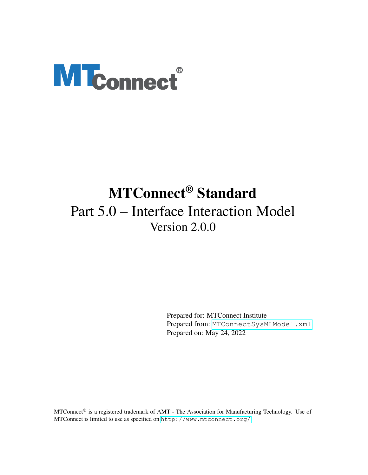# <span id="page-0-0"></span>**MTconnect®**

# MTConnect® Standard Part 5.0 – Interface Interaction Model Version 2.0.0

Prepared for: MTConnect Institute Prepared from: [MTConnectSysMLModel.xml](https://model.mtconnect.org/MTConnectSysMLModel.xml) Prepared on: May 24, 2022

MTConnect® is a registered trademark of AMT - The Association for Manufacturing Technology. Use of MTConnect is limited to use as specified on <http://www.mtconnect.org/>.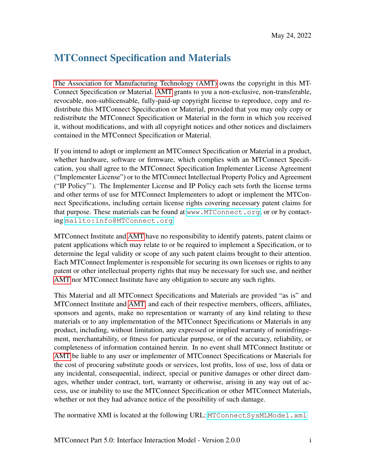# MTConnect Specification and Materials

[The Association for Manufacturing Technology \(AMT\)](#page-0-0) owns the copyright in this MT-Connect Specification or Material. [AMT](#page-0-0) grants to you a non-exclusive, non-transferable, revocable, non-sublicensable, fully-paid-up copyright license to reproduce, copy and redistribute this MTConnect Specification or Material, provided that you may only copy or redistribute the MTConnect Specification or Material in the form in which you received it, without modifications, and with all copyright notices and other notices and disclaimers contained in the MTConnect Specification or Material.

If you intend to adopt or implement an MTConnect Specification or Material in a product, whether hardware, software or firmware, which complies with an MTConnect Specification, you shall agree to the MTConnect Specification Implementer License Agreement ("Implementer License") or to the MTConnect Intellectual Property Policy and Agreement ("IP Policy"'). The Implementer License and IP Policy each sets forth the license terms and other terms of use for MTConnect Implementers to adopt or implement the MTConnect Specifications, including certain license rights covering necessary patent claims for that purpose. These materials can be found at <www.MTConnect.org>, or or by contacting <mailto:info@MTConnect.org>.

MTConnect Institute and [AMT](#page-0-0) have no responsibility to identify patents, patent claims or patent applications which may relate to or be required to implement a Specification, or to determine the legal validity or scope of any such patent claims brought to their attention. Each MTConnect Implementer is responsible for securing its own licenses or rights to any patent or other intellectual property rights that may be necessary for such use, and neither [AMT](#page-0-0) nor MTConnect Institute have any obligation to secure any such rights.

This Material and all MTConnect Specifications and Materials are provided "as is" and MTConnect Institute and [AMT,](#page-0-0) and each of their respective members, officers, affiliates, sponsors and agents, make no representation or warranty of any kind relating to these materials or to any implementation of the MTConnect Specifications or Materials in any product, including, without limitation, any expressed or implied warranty of noninfringement, merchantability, or fitness for particular purpose, or of the accuracy, reliability, or completeness of information contained herein. In no event shall MTConnect Institute or [AMT](#page-0-0) be liable to any user or implementer of MTConnect Specifications or Materials for the cost of procuring substitute goods or services, lost profits, loss of use, loss of data or any incidental, consequential, indirect, special or punitive damages or other direct damages, whether under contract, tort, warranty or otherwise, arising in any way out of access, use or inability to use the MTConnect Specification or other MTConnect Materials, whether or not they had advance notice of the possibility of such damage.

The normative XMI is located at the following URL: MTConnect SysMLModel.xml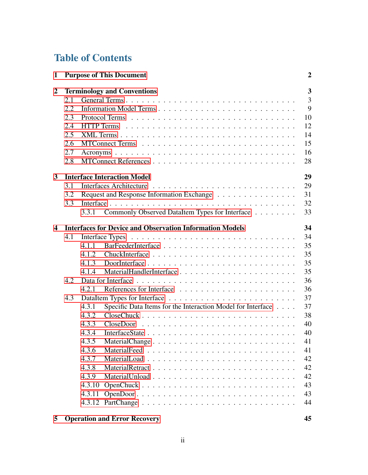# Table of Contents

| <b>Purpose of This Document</b><br>1 |     |        | $\overline{2}$                                                  |    |
|--------------------------------------|-----|--------|-----------------------------------------------------------------|----|
| $\overline{2}$                       |     |        | <b>Terminology and Conventions</b>                              | 3  |
|                                      | 2.1 |        |                                                                 | 3  |
|                                      | 2.2 |        |                                                                 | 9  |
|                                      | 2.3 |        |                                                                 | 10 |
|                                      | 2.4 |        |                                                                 | 12 |
|                                      | 2.5 |        |                                                                 | 14 |
|                                      | 2.6 |        |                                                                 | 15 |
|                                      | 2.7 |        |                                                                 | 16 |
|                                      | 2.8 |        |                                                                 | 28 |
| 3                                    |     |        | <b>Interface Interaction Model</b>                              | 29 |
|                                      | 3.1 |        |                                                                 | 29 |
|                                      | 3.2 |        | Request and Response Information Exchange                       | 31 |
|                                      | 3.3 |        |                                                                 | 32 |
|                                      |     | 3.3.1  | Commonly Observed DataItem Types for Interface                  | 33 |
| 4                                    |     |        | <b>Interfaces for Device and Observation Information Models</b> | 34 |
|                                      | 4.1 |        |                                                                 | 34 |
|                                      |     | 4.1.1  |                                                                 | 35 |
|                                      |     | 4.1.2  |                                                                 | 35 |
|                                      |     | 4.1.3  |                                                                 | 35 |
|                                      |     | 4.1.4  |                                                                 | 35 |
|                                      | 4.2 |        |                                                                 | 36 |
|                                      |     | 4.2.1  |                                                                 | 36 |
|                                      | 4.3 |        |                                                                 | 37 |
|                                      |     | 4.3.1  | Specific Data Items for the Interaction Model for Interface     | 37 |
|                                      |     | 4.3.2  |                                                                 | 38 |
|                                      |     | 4.3.3  |                                                                 | 40 |
|                                      |     | 4.3.4  |                                                                 | 40 |
|                                      |     | 4.3.5  | MaterialChange                                                  | 41 |
|                                      |     | 4.3.6  |                                                                 | 41 |
|                                      |     | 4.3.7  |                                                                 | 42 |
|                                      |     | 4.3.8  |                                                                 | 42 |
|                                      |     | 4.3.9  |                                                                 | 42 |
|                                      |     | 4.3.10 |                                                                 | 43 |
|                                      |     | 4.3.11 |                                                                 | 43 |
|                                      |     |        |                                                                 | 44 |
|                                      |     |        |                                                                 |    |

# [5 Operation and Error Recovery](#page-23-1) 45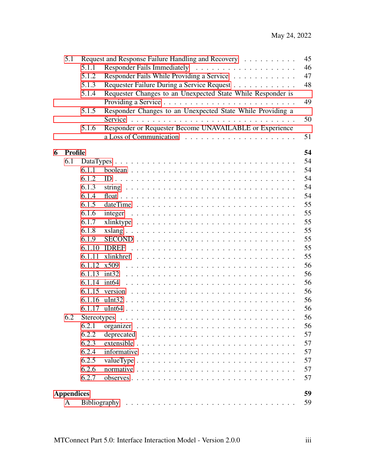|   | 5.1               |        | Request and Response Failure Handling and Recovery<br>45                                    |
|---|-------------------|--------|---------------------------------------------------------------------------------------------|
|   |                   | 5.1.1  | 46                                                                                          |
|   |                   | 5.1.2  | Responder Fails While Providing a Service<br>47                                             |
|   |                   | 5.1.3  | 48<br>Requester Failure During a Service Request                                            |
|   |                   | 5.1.4  | Requester Changes to an Unexpected State While Responder is                                 |
|   |                   |        | 49                                                                                          |
|   |                   | 5.1.5  | Responder Changes to an Unexpected State While Providing a                                  |
|   |                   |        | 50                                                                                          |
|   |                   | 5.1.6  | Responder or Requester Become UNAVAILABLE or Experience                                     |
|   |                   |        | 51                                                                                          |
| 6 | Profile           |        | 54                                                                                          |
|   | 6.1               |        | 54                                                                                          |
|   |                   | 6.1.1  | 54                                                                                          |
|   |                   | 6.1.2  | 54                                                                                          |
|   |                   | 6.1.3  | 54                                                                                          |
|   |                   | 6.1.4  | 54                                                                                          |
|   |                   | 6.1.5  | 55                                                                                          |
|   |                   | 6.1.6  | 55<br>$integer \dots \dots \dots \dots \dots \dots \dots \dots \dots \dots \dots \dots$     |
|   |                   | 6.1.7  | 55                                                                                          |
|   |                   | 6.1.8  | 55<br>$xslang \ldots \ldots \ldots \ldots \ldots \ldots \ldots \ldots \ldots \ldots \ldots$ |
|   |                   | 6.1.9  | 55                                                                                          |
|   |                   | 6.1.10 | 55                                                                                          |
|   |                   | 6.1.11 | 55                                                                                          |
|   |                   | 6.1.12 | 56<br>x509                                                                                  |
|   |                   |        | 56                                                                                          |
|   |                   | 6.1.14 | 56                                                                                          |
|   |                   |        | 56                                                                                          |
|   |                   | 6.1.16 | 56                                                                                          |
|   |                   | 6.1.17 | 56                                                                                          |
|   | 6.2               |        | 56                                                                                          |
|   |                   | 6.2.1  | 56                                                                                          |
|   |                   | 6.2.2  | 57                                                                                          |
|   |                   | 6.2.3  | 57                                                                                          |
|   |                   | 6.2.4  | 57                                                                                          |
|   |                   | 6.2.5  | 57                                                                                          |
|   |                   | 6.2.6  | 57                                                                                          |
|   |                   | 6.2.7  | 57                                                                                          |
|   | <b>Appendices</b> |        | 59                                                                                          |
|   | A                 |        | 59                                                                                          |
|   |                   |        |                                                                                             |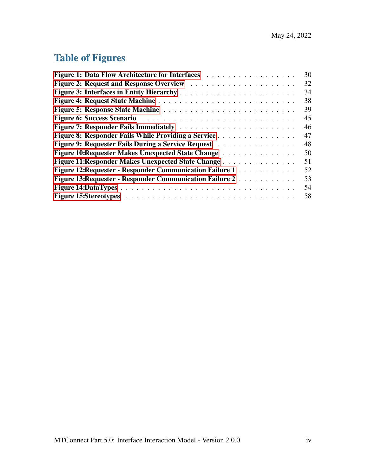# Table of Figures

| Figure 1: Data Flow Architecture for Interfaces                               | 30 |
|-------------------------------------------------------------------------------|----|
|                                                                               | 32 |
|                                                                               | 34 |
|                                                                               | 38 |
|                                                                               | 39 |
|                                                                               | 45 |
|                                                                               | 46 |
| Figure 8: Responder Fails While Providing a Service                           | 47 |
| Figure 9: Requester Fails During a Service Request                            | 48 |
| Figure 10: Requester Makes Unexpected State Change                            | 50 |
| Figure 11: Responder Makes Unexpected State Change                            | 51 |
| <b>Figure 12: Requester - Responder Communication Failure 1 Actual Action</b> | 52 |
| Figure 13: Requester - Responder Communication Failure 2                      | 53 |
|                                                                               | 54 |
|                                                                               | 58 |
|                                                                               |    |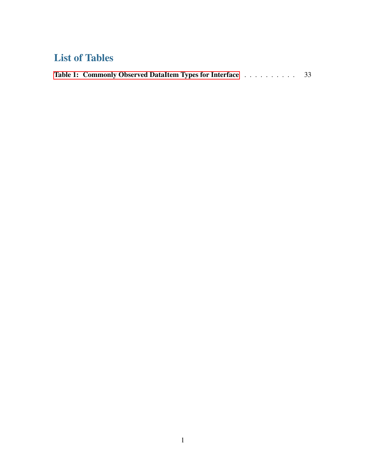# List of Tables

<span id="page-5-0"></span>

| Table 1: Commonly Observed DataItem Types for Interface 33 |
|------------------------------------------------------------|
|------------------------------------------------------------|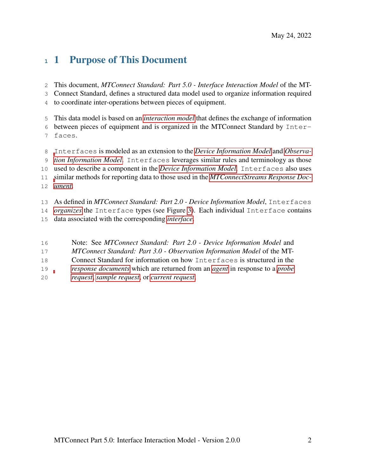# 1 Purpose of This Document

This document, *MTConnect Standard: Part 5.0 - Interface Interaction Model* of the MT-

Connect Standard, defines a structured data model used to organize information required

to coordinate inter-operations between pieces of equipment.

This data model is based on an *[interaction model](#page-0-0)* that defines the exchange of information

 between pieces of equipment and is organized in the MTConnect Standard by Inter-faces.

 [I](#page-0-0)nterfaces is modeled as an extension to the *[Device Information Model](#page-0-0)* and *[Observa-](#page-0-0) [tion Information Model](#page-0-0)*. Interfaces leverages similar rules and terminology as those used to describe a component in the *[Device Information Model](#page-0-0)*. Interfaces also uses [s](#page-0-0)imilar methods for reporting data to those used in the *[MTConnectStreams Response Doc-](#page-0-0)[ument](#page-0-0)*.

 As defined in *MTConnect Standard: Part 2.0 - Device Information Model*, Interfaces *[organizes](#page-0-0)* the Interface types (see Figure [3\)](#page-13-2). Each individual Interface contains

- data associated with the corresponding *[interface](#page-0-0)*.
- Note: See *MTConnect Standard: Part 2.0 Device Information Model* and
- *MTConnect Standard: Part 3.0 Observation Information Model* of the MT-
- Connect Standard for information on how Interfaces is structured in the
- *[response documents](#page-0-0)* which are returned from an *[agent](#page-0-0)* in response to a *[probe](#page-0-0)*
- <span id="page-6-0"></span>*[request](#page-0-0)*, *[sample request](#page-0-0)*, or *[current request](#page-0-0)*.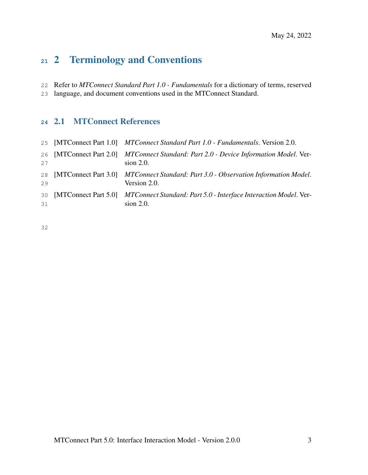# 2 Terminology and Conventions

Refer to *MTConnect Standard Part 1.0 - Fundamentals* for a dictionary of terms, reserved

<span id="page-7-0"></span>language, and document conventions used in the MTConnect Standard.

# 2.1 MTConnect References

|          | 25 [MTConnect Part 1.0] MTConnect Standard Part 1.0 - Fundamentals. Version 2.0.                      |
|----------|-------------------------------------------------------------------------------------------------------|
| 27       | 26 [MTConnect Part 2.0] MTConnect Standard: Part 2.0 - Device Information Model. Ver-<br>$sion$ 2.0.  |
| 29       | 28 [MTConnect Part 3.0] MTConnect Standard: Part 3.0 - Observation Information Model.<br>Version 2.0. |
| 30<br>31 | [MTConnect Part 5.0] MTConnect Standard: Part 5.0 - Interface Interaction Model. Ver-<br>$sion$ 2.0.  |

<span id="page-7-1"></span>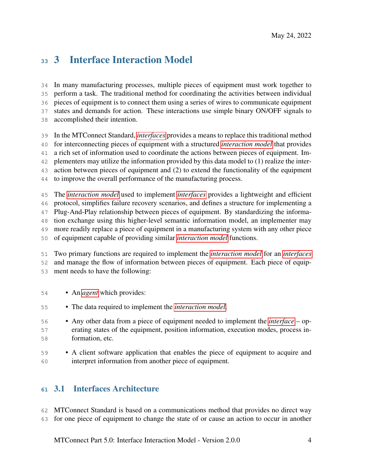# 3 Interface Interaction Model

 In many manufacturing processes, multiple pieces of equipment must work together to perform a task. The traditional method for coordinating the activities between individual pieces of equipment is to connect them using a series of wires to communicate equipment states and demands for action. These interactions use simple binary ON/OFF signals to accomplished their intention.

In the MTConnect Standard, *[interfaces](#page-0-0)* provides a means to replace this traditional method

for interconnecting pieces of equipment with a structured *[interaction model](#page-0-0)* that provides

a rich set of information used to coordinate the actions between pieces of equipment. Im-

plementers may utilize the information provided by this data model to (1) realize the inter-

action between pieces of equipment and (2) to extend the functionality of the equipment

to improve the overall performance of the manufacturing process.

The *[interaction model](#page-0-0)* used to implement *[interfaces](#page-0-0)* provides a lightweight and efficient

protocol, simplifies failure recovery scenarios, and defines a structure for implementing a

 Plug-And-Play relationship between pieces of equipment. By standardizing the informa-tion exchange using this higher-level semantic information model, an implementer may

more readily replace a piece of equipment in a manufacturing system with any other piece

of equipment capable of providing similar *[interaction model](#page-0-0)* functions.

 Two primary functions are required to implement the *[interaction model](#page-0-0)* for an *[interfaces](#page-0-0)* and manage the flow of information between pieces of equipment. Each piece of equip-ment needs to have the following:

- An *[agent](#page-0-0)* which provides:
- The data required to implement the *[interaction model](#page-0-0)*.
- Any other data from a piece of equipment needed to implement the *[interface](#page-0-0)* op- erating states of the equipment, position information, execution modes, process in-formation, etc.
- A client software application that enables the piece of equipment to acquire and interpret information from another piece of equipment.

# <span id="page-8-0"></span>3.1 Interfaces Architecture

 MTConnect Standard is based on a communications method that provides no direct way for one piece of equipment to change the state of or cause an action to occur in another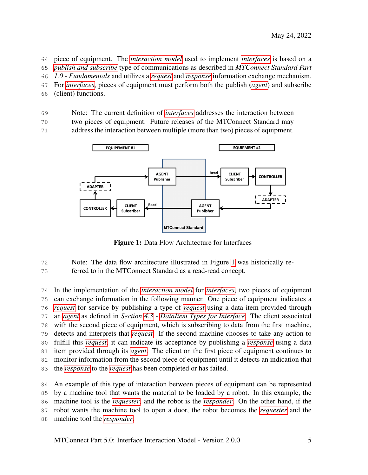piece of equipment. The *[interaction model](#page-0-0)* used to implement *[interfaces](#page-0-0)* is based on a

*[publish and subscribe](#page-0-0)* type of communications as described in *MTConnect Standard Part*

*1.0 - Fundamentals* and utilizes a *[request](#page-0-0)* and *[response](#page-0-0)* information exchange mechanism.

For *[interfaces](#page-0-0)*, pieces of equipment must perform both the publish (*[agent](#page-0-0)*) and subscribe

(client) functions.

Note: The current definition of *[interfaces](#page-0-0)* addresses the interaction between

two pieces of equipment. Future releases of the MTConnect Standard may

<span id="page-9-1"></span>address the interaction between multiple (more than two) pieces of equipment.



Figure 1: Data Flow Architecture for Interfaces

Note: The data flow architecture illustrated in Figure [1](#page-9-1) was historically re-

ferred to in the MTConnect Standard as a read-read concept.

 In the implementation of the *[interaction model](#page-0-0)* for *[interfaces](#page-0-0)*, two pieces of equipment can exchange information in the following manner. One piece of equipment indicates a *[request](#page-0-0)* for service by publishing a type of *[request](#page-0-0)* using a data item provided through an *[agent](#page-0-0)* as defined in *Section [4.3](#page-16-0) - [DataItem Types for Interface](#page-16-0)*. The client associated with the second piece of equipment, which is subscribing to data from the first machine, detects and interprets that *[request](#page-0-0)*. If the second machine chooses to take any action to fulfill this *[request](#page-0-0)*, it can indicate its acceptance by publishing a *[response](#page-0-0)* using a data item provided through its *[agent](#page-0-0)*. The client on the first piece of equipment continues to monitor information from the second piece of equipment until it detects an indication that the *[response](#page-0-0)* to the *[request](#page-0-0)* has been completed or has failed.

<span id="page-9-0"></span> An example of this type of interaction between pieces of equipment can be represented by a machine tool that wants the material to be loaded by a robot. In this example, the machine tool is the *[requester](#page-0-0)*, and the robot is the *[responder](#page-0-0)*. On the other hand, if the robot wants the machine tool to open a door, the robot becomes the *[requester](#page-0-0)* and the machine tool the *[responder](#page-0-0)*.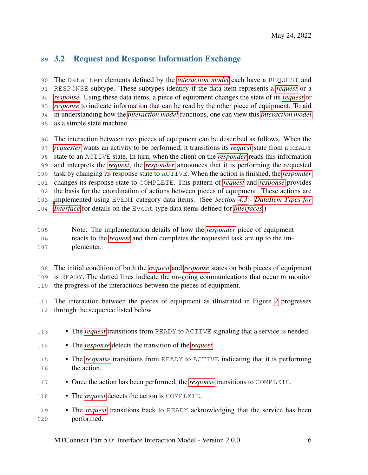# 3.2 Request and Response Information Exchange

 The DataItem elements defined by the *[interaction model](#page-0-0)* each have a REQUEST and RESPONSE subtype. These subtypes identify if the data item represents a *[request](#page-0-0)* or a *[response](#page-0-0)*. Using these data items, a piece of equipment changes the state of its *[request](#page-0-0)* or *[response](#page-0-0)* to indicate information that can be read by the other piece of equipment. To aid in understanding how the *[interaction model](#page-0-0)* functions, one can view this *[interaction model](#page-0-0)* as a simple state machine.

 The interaction between two pieces of equipment can be described as follows. When the *[requester](#page-0-0)* wants an activity to be performed, it transitions its *[request](#page-0-0)* state from a READY state to an ACTIVE state. In turn, when the client on the *[responder](#page-0-0)* reads this information and interprets the *[request](#page-0-0)*, the *[responder](#page-0-0)* announces that it is performing the requested task by changing its response state to ACTIVE. When the action is finished, the *[responder](#page-0-0)* changes its response state to COMPLETE. This pattern of *[request](#page-0-0)* and *[response](#page-0-0)* provides the basis for the coordination of actions between pieces of equipment. These actions are [i](#page-16-0)mplemented using EVENT category data items. (See *Section [4.3](#page-16-0) - [DataItem Types for](#page-16-0) [Interface](#page-16-0)* for details on the Event type data items defined for *[interfaces](#page-0-0)*.)

- Note: The implementation details of how the *[responder](#page-0-0)* piece of equipment reacts to the *[request](#page-0-0)* and then completes the requested task are up to the im-plementer.
- The initial condition of both the *[request](#page-0-0)* and *[response](#page-0-0)* states on both pieces of equipment is READY. The dotted lines indicate the on-going communications that occur to monitor

the progress of the interactions between the pieces of equipment.

 The interaction between the pieces of equipment as illustrated in Figure [2](#page-11-2) progresses through the sequence listed below.

113 • The *[request](#page-0-0)* transitions from READY to ACTIVE signaling that a service is needed. • The *[response](#page-0-0)* detects the transition of the *[request](#page-0-0)*. <sup>115</sup> • The *[response](#page-0-0)* transitions from READY to ACTIVE indicating that it is performing the action. • Once the action has been performed, the *[response](#page-0-0)* transitions to COMPLETE. 118 • The *[request](#page-0-0)* detects the action is COMPLETE. • The *[request](#page-0-0)* transitions back to READY acknowledging that the service has been performed.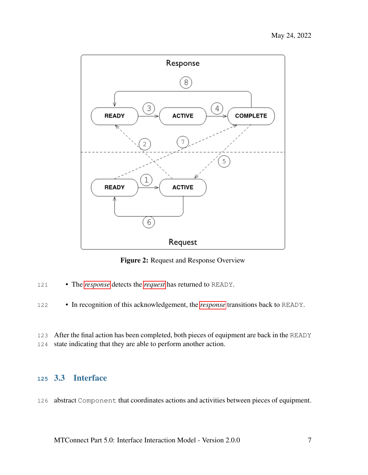<span id="page-11-2"></span>

Figure 2: Request and Response Overview

- The *[response](#page-0-0)* detects the *[request](#page-0-0)* has returned to READY.
- In recognition of this acknowledgement, the *[response](#page-0-0)* transitions back to READY.
- After the final action has been completed, both pieces of equipment are back in the READY
- <span id="page-11-0"></span>state indicating that they are able to perform another action.

# 3.3 Interface

<span id="page-11-1"></span>abstract Component that coordinates actions and activities between pieces of equipment.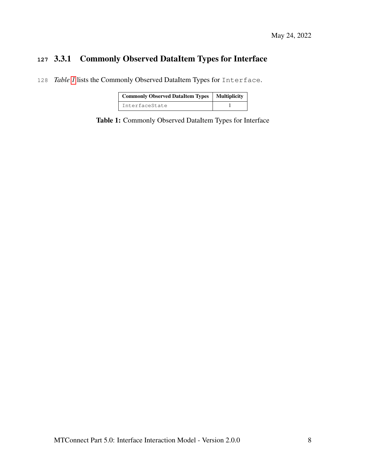# **<sup>127</sup>** 3.3.1 Commonly Observed DataItem Types for Interface

<span id="page-12-1"></span>128 *Table [1](#page-12-1)* lists the Commonly Observed DataItem Types for Interface.

| <b>Commonly Observed DataItem Types   Multiplicity</b> |  |
|--------------------------------------------------------|--|
| <b>TnterfaceState</b>                                  |  |

<span id="page-12-0"></span>Table 1: Commonly Observed DataItem Types for Interface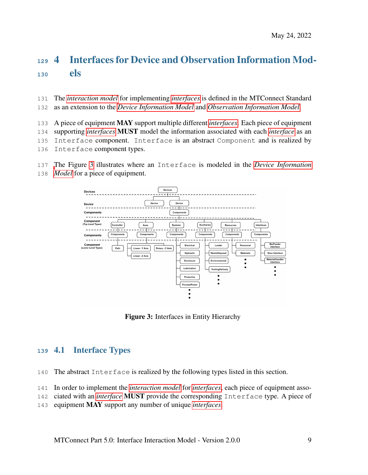# 4 Interfaces for Device and Observation Information Mod-els

- The *[interaction model](#page-0-0)* for implementing *[interfaces](#page-0-0)* is defined in the MTConnect Standard
- as an extension to the *[Device Information Model](#page-0-0)* and *[Observation Information Model](#page-0-0)*.

A piece of equipment MAY support multiple different *[interfaces](#page-0-0)*. Each piece of equipment

- supporting *[interfaces](#page-0-0)* MUST model the information associated with each *[interface](#page-0-0)* as an
- Interface component. Interface is an abstract Component and is realized by
- Interface component types.
- [T](#page-0-0)he Figure [3](#page-13-2) illustrates where an Interface is modeled in the *[Device Information](#page-0-0)*
- *[Model](#page-0-0)* for a piece of equipment.

<span id="page-13-2"></span>

Figure 3: Interfaces in Entity Hierarchy

# <span id="page-13-0"></span>4.1 Interface Types

- The abstract Interface is realized by the following types listed in this section.
- In order to implement the *[interaction model](#page-0-0)* for *[interfaces](#page-0-0)*, each piece of equipment asso-
- ciated with an *[interface](#page-0-0)* MUST provide the corresponding Interface type. A piece of
- <span id="page-13-1"></span>equipment MAY support any number of unique *[interfaces](#page-0-0)*.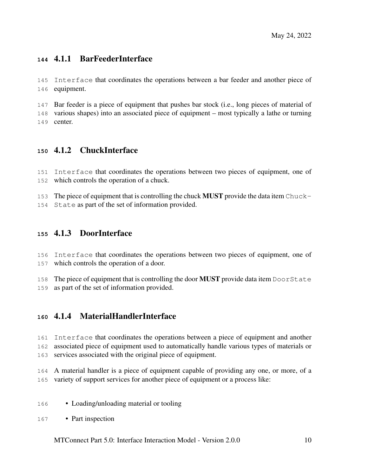# 4.1.1 BarFeederInterface

 Interface that coordinates the operations between a bar feeder and another piece of equipment.

 Bar feeder is a piece of equipment that pushes bar stock (i.e., long pieces of material of various shapes) into an associated piece of equipment – most typically a lathe or turning center.

#### <span id="page-14-0"></span>4.1.2 ChuckInterface

 Interface that coordinates the operations between two pieces of equipment, one of which controls the operation of a chuck.

<span id="page-14-1"></span>153 The piece of equipment that is controlling the chuck **MUST** provide the data item Chuck-State as part of the set of information provided.

#### 4.1.3 DoorInterface

 Interface that coordinates the operations between two pieces of equipment, one of which controls the operation of a door.

<span id="page-14-2"></span>158 The piece of equipment that is controlling the door **MUST** provide data item DoorState as part of the set of information provided.

#### 4.1.4 MaterialHandlerInterface

 Interface that coordinates the operations between a piece of equipment and another associated piece of equipment used to automatically handle various types of materials or

services associated with the original piece of equipment.

 A material handler is a piece of equipment capable of providing any one, or more, of a variety of support services for another piece of equipment or a process like:

- Loading/unloading material or tooling
- Part inspection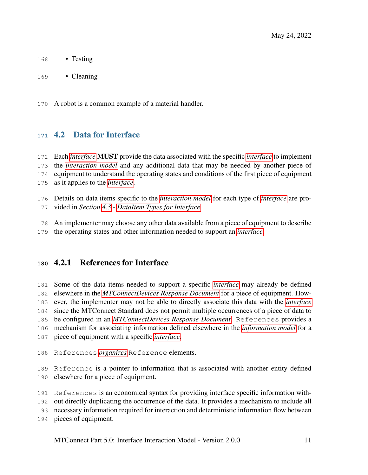- 168 Testing
- Cleaning

<span id="page-15-0"></span>A robot is a common example of a material handler.

# 4.2 Data for Interface

 Each *[interface](#page-0-0)* MUST provide the data associated with the specific *[interface](#page-0-0)* to implement the *[interaction model](#page-0-0)* and any additional data that may be needed by another piece of equipment to understand the operating states and conditions of the first piece of equipment as it applies to the *[interface](#page-0-0)*.

Details on data items specific to the *[interaction model](#page-0-0)* for each type of *[interface](#page-0-0)* are pro-

- vided in *Section [4.3](#page-16-0) - [DataItem Types for Interface](#page-16-0)*.
- An implementer may choose any other data available from a piece of equipment to describe
- <span id="page-15-1"></span>the operating states and other information needed to support an *[interface](#page-0-0)*.

# 4.2.1 References for Interface

 Some of the data items needed to support a specific *[interface](#page-0-0)* may already be defined elsewhere in the *[MTConnectDevices Response Document](#page-0-0)* for a piece of equipment. How- ever, the implementer may not be able to directly associate this data with the *[interface](#page-0-0)* since the MTConnect Standard does not permit multiple occurrences of a piece of data to be configured in an *[MTConnectDevices Response Document](#page-0-0)*. References provides a mechanism for associating information defined elsewhere in the *[information model](#page-0-0)* for a piece of equipment with a specific *[interface](#page-0-0)*.

References *[organizes](#page-0-0)* Reference elements.

 Reference is a pointer to information that is associated with another entity defined elsewhere for a piece of equipment.

References is an economical syntax for providing interface specific information with-

out directly duplicating the occurrence of the data. It provides a mechanism to include all

necessary information required for interaction and deterministic information flow between

pieces of equipment.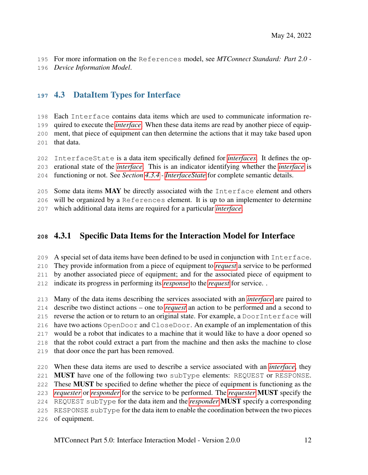<span id="page-16-0"></span> For more information on the References model, see *MTConnect Standard: Part 2.0 - Device Information Model*.

# 4.3 DataItem Types for Interface

 Each Interface contains data items which are used to communicate information re- quired to execute the *[interface](#page-0-0)*. When these data items are read by another piece of equip- ment, that piece of equipment can then determine the actions that it may take based upon that data.

 InterfaceState is a data item specifically defined for *[interfaces](#page-0-0)*. It defines the op- erational state of the *[interface](#page-0-0)*. This is an indicator identifying whether the *[interface](#page-0-0)* is functioning or not. See *Section [4.3.4](#page-19-1) - [InterfaceState](#page-19-1)* for complete semantic details.

205 Some data items MAY be directly associated with the Interface element and others will be organized by a References element. It is up to an implementer to determine which additional data items are required for a particular *[interface](#page-0-0)*.

# <span id="page-16-1"></span>4.3.1 Specific Data Items for the Interaction Model for Interface

A special set of data items have been defined to be used in conjunction with Interface.

They provide information from a piece of equipment to *[request](#page-0-0)* a service to be performed

by another associated piece of equipment; and for the associated piece of equipment to

indicate its progress in performing its *[response](#page-0-0)* to the *[request](#page-0-0)* for service. .

 Many of the data items describing the services associated with an *[interface](#page-0-0)* are paired to describe two distinct actions – one to *[request](#page-0-0)* an action to be performed and a second to reverse the action or to return to an original state. For example, a DoorInterface will have two actions OpenDoor and CloseDoor. An example of an implementation of this would be a robot that indicates to a machine that it would like to have a door opened so that the robot could extract a part from the machine and then asks the machine to close that door once the part has been removed.

 When these data items are used to describe a service associated with an *[interface](#page-0-0)*, they MUST have one of the following two subType elements: REQUEST or RESPONSE. These MUST be specified to define whether the piece of equipment is functioning as the *[requester](#page-0-0)* or *[responder](#page-0-0)* for the service to be performed. The *[requester](#page-0-0)* MUST specify the REQUEST subType for the data item and the *[responder](#page-0-0)* MUST specify a corresponding RESPONSE subType for the data item to enable the coordination between the two pieces of equipment.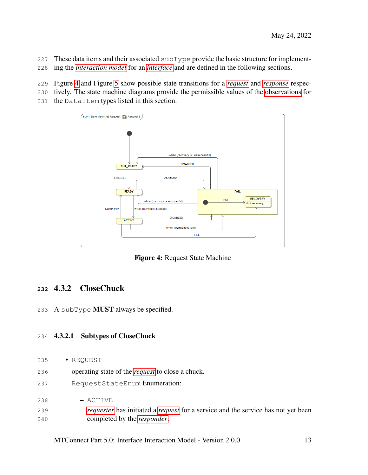- These data items and their associated subType provide the basic structure for implement-
- ing the *[interaction model](#page-0-0)* for an *[interface](#page-0-0)* and are defined in the following sections.
- Figure [4](#page-17-1) and Figure [5](#page-18-0) show possible state transitions for a *[request](#page-0-0)* and *[response](#page-0-0)* respec-
- tively. The state machine diagrams provide the permissible values of the [observations](#page-0-0) for
- <span id="page-17-1"></span>the DataItem types listed in this section.



Figure 4: Request State Machine

#### <span id="page-17-0"></span>4.3.2 CloseChuck

A subType MUST always be specified.

#### 4.3.2.1 Subtypes of CloseChuck

- REQUEST
- operating state of the *[request](#page-0-0)* to close a chuck.
- RequestStateEnum Enumeration:
- ACTIVE
- *[requester](#page-0-0)* has initiated a *[request](#page-0-0)* for a service and the service has not yet been completed by the *[responder](#page-0-0)*.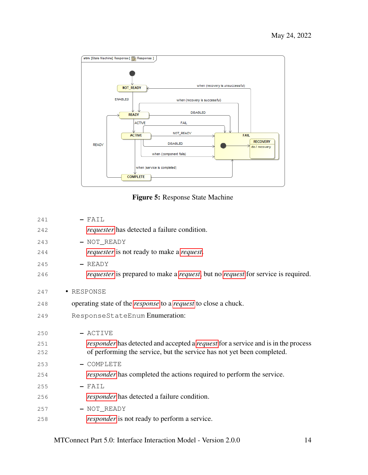<span id="page-18-0"></span>

Figure 5: Response State Machine

| 241 | $-$ FAIL                                                                                               |
|-----|--------------------------------------------------------------------------------------------------------|
| 242 | <i>requester</i> has detected a failure condition.                                                     |
| 243 | - NOT_READY                                                                                            |
| 244 | <i>requester</i> is not ready to make a <i>request</i> .                                               |
| 245 | $-$ READY                                                                                              |
| 246 | <i>requester</i> is prepared to make a <i>request</i> , but no <i>request</i> for service is required. |
| 247 | • RESPONSE                                                                                             |
| 248 | operating state of the <i>response</i> to a <i>request</i> to close a chuck.                           |
| 249 | ResponseStateEnum Enumeration:                                                                         |
| 250 | - ACTIVE                                                                                               |
| 251 | <i>responder</i> has detected and accepted a <i>request</i> for a service and is in the process        |
| 252 | of performing the service, but the service has not yet been completed.                                 |
| 253 | - COMPLETE                                                                                             |
| 254 | <i>responder</i> has completed the actions required to perform the service.                            |
| 255 | $-$ FAIL                                                                                               |
| 256 | <i>responder</i> has detected a failure condition.                                                     |
| 257 | - NOT_READY                                                                                            |
| 258 | <i>responder</i> is not ready to perform a service.                                                    |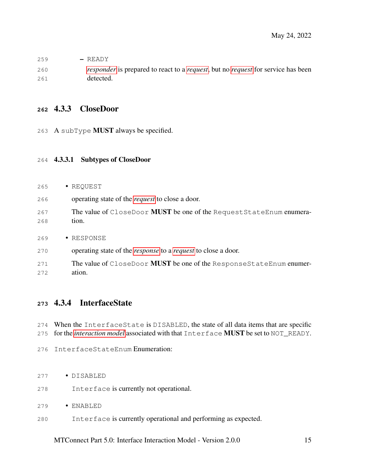| 259 | $-$ READY                                                                                              |
|-----|--------------------------------------------------------------------------------------------------------|
| 260 | <i>responder</i> is prepared to react to a <i>request</i> , but no <i>request</i> for service has been |
| 261 | detected.                                                                                              |

#### <span id="page-19-0"></span>4.3.3 CloseDoor

A subType MUST always be specified.

#### 4.3.3.1 Subtypes of CloseDoor

- REQUEST
- operating state of the *[request](#page-0-0)* to close a door.
- The value of CloseDoor MUST be one of the RequestStateEnum enumera-tion.
- RESPONSE
- operating state of the *[response](#page-0-0)* to a *[request](#page-0-0)* to close a door.
- 271 The value of CloseDoor MUST be one of the ResponseStateEnum enumer-ation.

#### <span id="page-19-1"></span>4.3.4 InterfaceState

When the InterfaceState is DISABLED, the state of all data items that are specific

- for the *[interaction model](#page-0-0)* associated with that Interface MUST be set to NOT\_READY.
- InterfaceStateEnum Enumeration:
- DISABLED
- Interface is currently not operational.
- ENABLED
- <span id="page-19-2"></span>Interface is currently operational and performing as expected.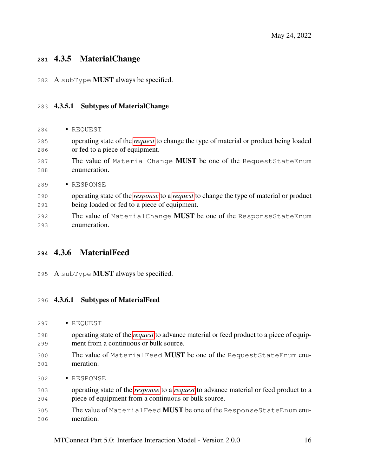# 4.3.5 MaterialChange

A subType MUST always be specified.

#### 4.3.5.1 Subtypes of MaterialChange

- REQUEST
- operating state of the *[request](#page-0-0)* to change the type of material or product being loaded or fed to a piece of equipment.
- 287 The value of MaterialChange **MUST** be one of the RequestStateEnum enumeration.
- RESPONSE
- operating state of the *[response](#page-0-0)* to a *[request](#page-0-0)* to change the type of material or product being loaded or fed to a piece of equipment.
- 292 The value of MaterialChange **MUST** be one of the ResponseStateEnum enumeration.

# <span id="page-20-0"></span>4.3.6 MaterialFeed

295 A subType **MUST** always be specified.

#### 4.3.6.1 Subtypes of MaterialFeed

- REQUEST
- operating state of the *[request](#page-0-0)* to advance material or feed product to a piece of equip-ment from a continuous or bulk source.
- 300 The value of MaterialFeed **MUST** be one of the RequestStateEnum enu-meration.
- RESPONSE
- operating state of the *[response](#page-0-0)* to a *[request](#page-0-0)* to advance material or feed product to a piece of equipment from a continuous or bulk source.
- <span id="page-20-1"></span>305 The value of MaterialFeed **MUST** be one of the ResponseStateEnum enu-meration.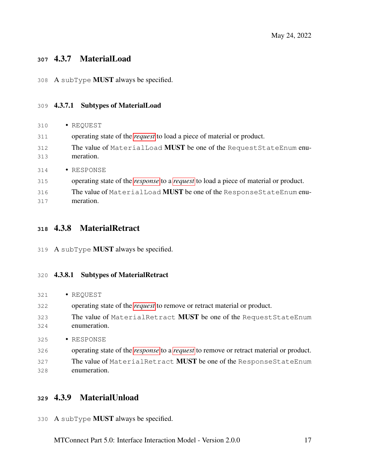## 4.3.7 MaterialLoad

A subType MUST always be specified.

#### 4.3.7.1 Subtypes of MaterialLoad

| 310        | · REQUEST                                                                                          |
|------------|----------------------------------------------------------------------------------------------------|
| 311        | operating state of the <i>request</i> to load a piece of material or product.                      |
| 312<br>313 | The value of MaterialLoad <b>MUST</b> be one of the Request StateEnum enu-<br>meration.            |
| 314        | • RESPONSE                                                                                         |
| 315        | operating state of the <i>response</i> to a <i>request</i> to load a piece of material or product. |
| 316        | The value of Material Load MUST be one of the Response State Enum enu-                             |
| 317        | meration.                                                                                          |

#### <span id="page-21-0"></span>4.3.8 MaterialRetract

A subType MUST always be specified.

#### 4.3.8.1 Subtypes of MaterialRetract

- REQUEST
- operating state of the *[request](#page-0-0)* to remove or retract material or product.
- 323 The value of MaterialRetract MUST be one of the RequestStateEnum enumeration.
- RESPONSE
- operating state of the *[response](#page-0-0)* to a *[request](#page-0-0)* to remove or retract material or product.
- <span id="page-21-1"></span>327 The value of MaterialRetract MUST be one of the ResponseStateEnum enumeration.

## 4.3.9 MaterialUnload

A subType MUST always be specified.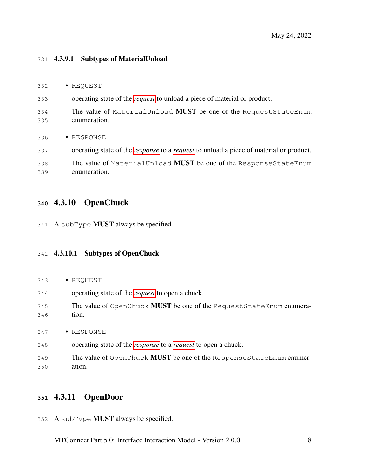#### 4.3.9.1 Subtypes of MaterialUnload

| 332        | · REQUEST                                                                                            |
|------------|------------------------------------------------------------------------------------------------------|
| 333        | operating state of the <i>request</i> to unload a piece of material or product.                      |
| 334<br>335 | The value of MaterialUnload MUST be one of the Request StateEnum<br>enumeration.                     |
| 336        | • RESPONSE                                                                                           |
| 337        | operating state of the <i>response</i> to a <i>request</i> to unload a piece of material or product. |
| 338<br>339 | The value of MaterialUnload MUST be one of the ResponseStateEnum<br>enumeration.                     |

# <span id="page-22-0"></span>4.3.10 OpenChuck

A subType MUST always be specified.

#### 4.3.10.1 Subtypes of OpenChuck

- REQUEST
- operating state of the *[request](#page-0-0)* to open a chuck.
- 345 The value of OpenChuck MUST be one of the RequestStateEnum enumera-tion.
- RESPONSE
- operating state of the *[response](#page-0-0)* to a *[request](#page-0-0)* to open a chuck.
- 349 The value of OpenChuck MUST be one of the ResponseStateEnum enumer-ation.

# <span id="page-22-1"></span>4.3.11 OpenDoor

A subType MUST always be specified.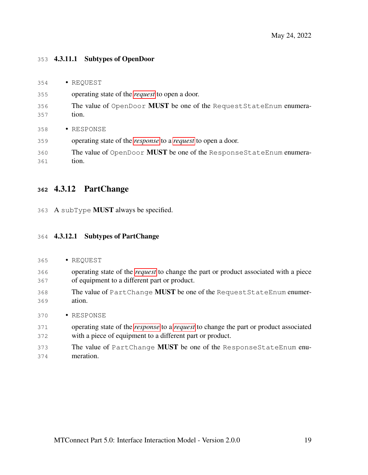#### 4.3.11.1 Subtypes of OpenDoor

| 354        | • REQUEST                                                                    |
|------------|------------------------------------------------------------------------------|
| 355        | operating state of the <i>request</i> to open a door.                        |
| 356<br>357 | The value of OpenDoor MUST be one of the Request StateEnum enumera-<br>tion. |
| 358        | • RESPONSE                                                                   |
| 359        | operating state of the <i>response</i> to a <i>request</i> to open a door.   |
| 360<br>361 | The value of OpenDoor MUST be one of the ResponseStateEnum enumera-<br>tion. |

#### <span id="page-23-0"></span>4.3.12 PartChange

A subType MUST always be specified.

#### 4.3.12.1 Subtypes of PartChange

- REQUEST
- operating state of the *[request](#page-0-0)* to change the part or product associated with a piece of equipment to a different part or product.
- The value of PartChange MUST be one of the RequestStateEnum enumer-ation.
- RESPONSE
- operating state of the *[response](#page-0-0)* to a *[request](#page-0-0)* to change the part or product associated with a piece of equipment to a different part or product.
- <span id="page-23-1"></span>373 The value of PartChange MUST be one of the ResponseStateEnum enu-meration.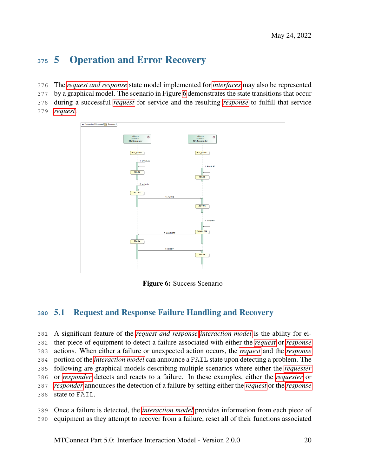# 5 Operation and Error Recovery

- The *[request and response](#page-0-0)* state model implemented for *[interfaces](#page-0-0)* may also be represented
- by a graphical model. The scenario in Figure [6](#page-24-1) demonstrates the state transitions that occur
- during a successful *[request](#page-0-0)* for service and the resulting *[response](#page-0-0)* to fulfill that service
- <span id="page-24-1"></span>*[request](#page-0-0)*.



Figure 6: Success Scenario

# <span id="page-24-0"></span>5.1 Request and Response Failure Handling and Recovery

 A significant feature of the *[request and response interaction model](#page-0-0)* is the ability for ei- ther piece of equipment to detect a failure associated with either the *[request](#page-0-0)* or *[response](#page-0-0)* actions. When either a failure or unexpected action occurs, the *[request](#page-0-0)* and the *[response](#page-0-0)* portion of the *[interaction model](#page-0-0)* can announce a FAIL state upon detecting a problem. The following are graphical models describing multiple scenarios where either the *[requester](#page-0-0)* or *[responder](#page-0-0)* detects and reacts to a failure. In these examples, either the *[requester](#page-0-0)* or *[responder](#page-0-0)* announces the detection of a failure by setting either the *[request](#page-0-0)* or the *[response](#page-0-0)* state to FAIL.

 Once a failure is detected, the *[interaction model](#page-0-0)* provides information from each piece of equipment as they attempt to recover from a failure, reset all of their functions associated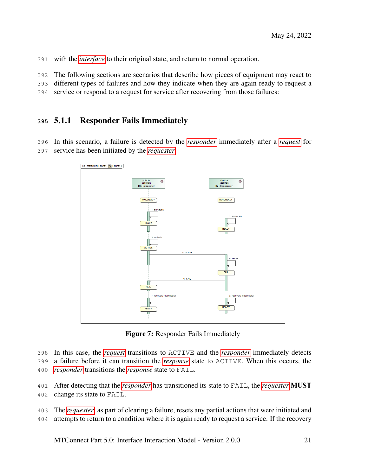with the *[interface](#page-0-0)* to their original state, and return to normal operation.

The following sections are scenarios that describe how pieces of equipment may react to

different types of failures and how they indicate when they are again ready to request a

<span id="page-25-0"></span>service or respond to a request for service after recovering from those failures:

#### 5.1.1 Responder Fails Immediately

 In this scenario, a failure is detected by the *[responder](#page-0-0)* immediately after a *[request](#page-0-0)* for service has been initiated by the *[requester](#page-0-0)*.

<span id="page-25-1"></span>

Figure 7: Responder Fails Immediately

In this case, the *[request](#page-0-0)* transitions to ACTIVE and the *[responder](#page-0-0)* immediately detects

a failure before it can transition the *[response](#page-0-0)* state to ACTIVE. When this occurs, the

*[responder](#page-0-0)* transitions the *[response](#page-0-0)* state to FAIL.

After detecting that the *[responder](#page-0-0)* has transitioned its state to FAIL, the *[requester](#page-0-0)* MUST

change its state to FAIL.

 The *[requester](#page-0-0)*, as part of clearing a failure, resets any partial actions that were initiated and attempts to return to a condition where it is again ready to request a service. If the recovery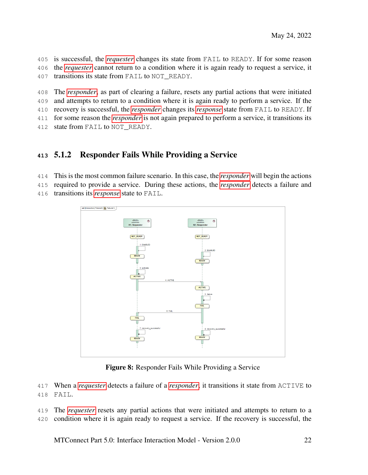is successful, the *[requester](#page-0-0)* changes its state from FAIL to READY. If for some reason the *[requester](#page-0-0)* cannot return to a condition where it is again ready to request a service, it 407 transitions its state from FAIL to NOT\_READY.

 The *[responder](#page-0-0)*, as part of clearing a failure, resets any partial actions that were initiated and attempts to return to a condition where it is again ready to perform a service. If the recovery is successful, the *[responder](#page-0-0)* changes its *[response](#page-0-0)* state from FAIL to READY. If for some reason the *[responder](#page-0-0)* is not again prepared to perform a service, it transitions its

<span id="page-26-0"></span>412 state from FAIL to NOT READY.

# 5.1.2 Responder Fails While Providing a Service

This is the most common failure scenario. In this case, the *[responder](#page-0-0)* will begin the actions

required to provide a service. During these actions, the *[responder](#page-0-0)* detects a failure and

transitions its *[response](#page-0-0)* state to FAIL.

<span id="page-26-1"></span>

Figure 8: Responder Fails While Providing a Service

 When a *[requester](#page-0-0)* detects a failure of a *[responder](#page-0-0)*, it transitions it state from ACTIVE to FAIL.

 The *[requester](#page-0-0)* resets any partial actions that were initiated and attempts to return to a condition where it is again ready to request a service. If the recovery is successful, the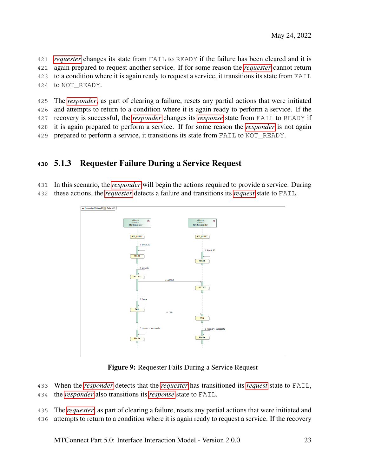*[requester](#page-0-0)* changes its state from FAIL to READY if the failure has been cleared and it is again prepared to request another service. If for some reason the *[requester](#page-0-0)* cannot return to a condition where it is again ready to request a service, it transitions its state from FAIL to NOT\_READY.

 The *[responder](#page-0-0)*, as part of clearing a failure, resets any partial actions that were initiated and attempts to return to a condition where it is again ready to perform a service. If the recovery is successful, the *[responder](#page-0-0)* changes its *[response](#page-0-0)* state from FAIL to READY if it is again prepared to perform a service. If for some reason the *[responder](#page-0-0)* is not again prepared to perform a service, it transitions its state from FAIL to NOT\_READY.

# <span id="page-27-0"></span>5.1.3 Requester Failure During a Service Request

 In this scenario, the *[responder](#page-0-0)* will begin the actions required to provide a service. During these actions, the *[requester](#page-0-0)* detects a failure and transitions its *[request](#page-0-0)* state to FAIL.

<span id="page-27-1"></span>

Figure 9: Requester Fails During a Service Request

- When the *[responder](#page-0-0)* detects that the *[requester](#page-0-0)* has transitioned its *[request](#page-0-0)* state to FAIL,
- the *[responder](#page-0-0)* also transitions its *[response](#page-0-0)* state to FAIL.
- The *[requester](#page-0-0)*, as part of clearing a failure, resets any partial actions that were initiated and
- attempts to return to a condition where it is again ready to request a service. If the recovery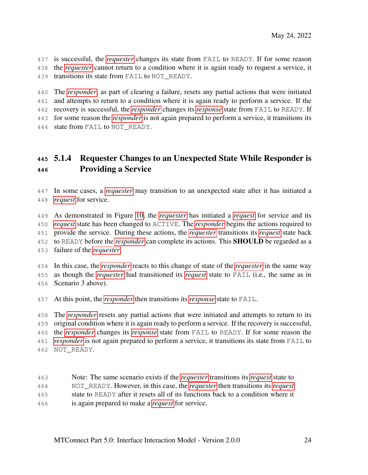is successful, the *[requester](#page-0-0)* changes its state from FAIL to READY. If for some reason the *[requester](#page-0-0)* cannot return to a condition where it is again ready to request a service, it 439 transitions its state from FAIL to NOT\_READY.

 The *[responder](#page-0-0)*, as part of clearing a failure, resets any partial actions that were initiated and attempts to return to a condition where it is again ready to perform a service. If the recovery is successful, the *[responder](#page-0-0)* changes its *[response](#page-0-0)* state from FAIL to READY. If for some reason the *[responder](#page-0-0)* is not again prepared to perform a service, it transitions its

<span id="page-28-0"></span>444 state from FAIL to NOT READY.

# 5.1.4 Requester Changes to an Unexpected State While Responder is Providing a Service

 In some cases, a *[requester](#page-0-0)* may transition to an unexpected state after it has initiated a *[request](#page-0-0)* for service.

 As demonstrated in Figure [10,](#page-29-0) the *[requester](#page-0-0)* has initiated a *[request](#page-0-0)* for service and its *[request](#page-0-0)* state has been changed to ACTIVE. The *[responder](#page-0-0)* begins the actions required to provide the service. During these actions, the *[requester](#page-0-0)* transitions its *[request](#page-0-0)* state back to READY before the *[responder](#page-0-0)* can complete its actions. This SHOULD be regarded as a failure of the *[requester](#page-0-0)*.

 In this case, the *[responder](#page-0-0)* reacts to this change of state of the *[requester](#page-0-0)* in the same way as though the *[requester](#page-0-0)* had transitioned its *[request](#page-0-0)* state to FAIL (i.e., the same as in Scenario 3 above).

At this point, the *[responder](#page-0-0)* then transitions its *[response](#page-0-0)* state to FAIL.

 The *[responder](#page-0-0)* resets any partial actions that were initiated and attempts to return to its original condition where it is again ready to perform a service. If the recovery is successful, the *[responder](#page-0-0)* changes its *[response](#page-0-0)* state from FAIL to READY. If for some reason the *[responder](#page-0-0)* is not again prepared to perform a service, it transitions its state from FAIL to NOT\_READY.

<span id="page-28-1"></span> Note: The same scenario exists if the *[requester](#page-0-0)* transitions its *[request](#page-0-0)* state to NOT\_READY. However, in this case, the *[requester](#page-0-0)* then transitions its *[request](#page-0-0)* state to READY after it resets all of its functions back to a condition where it is again prepared to make a *[request](#page-0-0)* for service.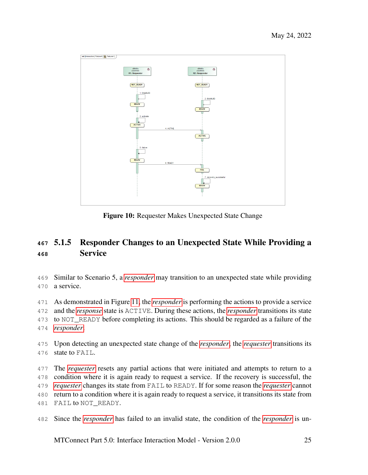<span id="page-29-0"></span>

Figure 10: Requester Makes Unexpected State Change

# 5.1.5 Responder Changes to an Unexpected State While Providing a Service

 Similar to Scenario 5, a *[responder](#page-0-0)* may transition to an unexpected state while providing a service.

 As demonstrated in Figure [11,](#page-30-1) the *[responder](#page-0-0)* is performing the actions to provide a service and the *[response](#page-0-0)* state is ACTIVE. During these actions, the *[responder](#page-0-0)* transitions its state to NOT\_READY before completing its actions. This should be regarded as a failure of the *[responder](#page-0-0)*.

 Upon detecting an unexpected state change of the *[responder](#page-0-0)*, the *[requester](#page-0-0)* transitions its state to FAIL.

 The *[requester](#page-0-0)* resets any partial actions that were initiated and attempts to return to a condition where it is again ready to request a service. If the recovery is successful, the *[requester](#page-0-0)* changes its state from FAIL to READY. If for some reason the *[requester](#page-0-0)* cannot return to a condition where it is again ready to request a service, it transitions its state from 481 FAIL to NOT READY.

Since the *[responder](#page-0-0)* has failed to an invalid state, the condition of the *[responder](#page-0-0)* is un-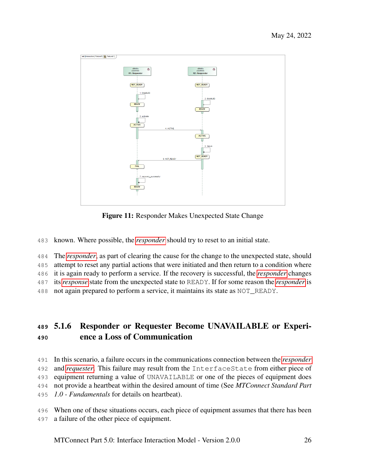<span id="page-30-1"></span>

Figure 11: Responder Makes Unexpected State Change

known. Where possible, the *[responder](#page-0-0)* should try to reset to an initial state.

The *[responder](#page-0-0)*, as part of clearing the cause for the change to the unexpected state, should

attempt to reset any partial actions that were initiated and then return to a condition where

it is again ready to perform a service. If the recovery is successful, the *[responder](#page-0-0)* changes

its *[response](#page-0-0)* state from the unexpected state to READY. If for some reason the *[responder](#page-0-0)* is

<span id="page-30-0"></span>not again prepared to perform a service, it maintains its state as NOT\_READY.

# 5.1.6 Responder or Requester Become UNAVAILABLE or Experi-ence a Loss of Communication

- In this scenario, a failure occurs in the communications connection between the *[responder](#page-0-0)* and *[requester](#page-0-0)*. This failure may result from the InterfaceState from either piece of equipment returning a value of UNAVAILABLE or one of the pieces of equipment does not provide a heartbeat within the desired amount of time (See *MTConnect Standard Part 1.0 - Fundamentals* for details on heartbeat).
- When one of these situations occurs, each piece of equipment assumes that there has been a failure of the other piece of equipment.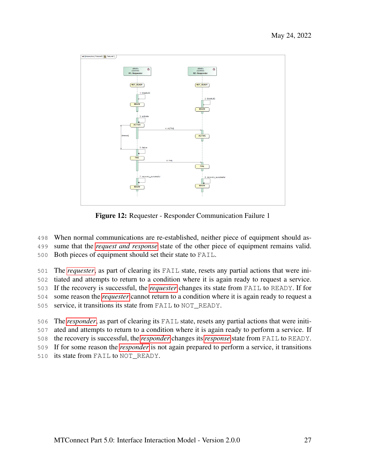<span id="page-31-1"></span>

Figure 12: Requester - Responder Communication Failure 1

When normal communications are re-established, neither piece of equipment should as-

sume that the *[request and response](#page-0-0)* state of the other piece of equipment remains valid.

Both pieces of equipment should set their state to FAIL.

The *[requester](#page-0-0)*, as part of clearing its FAIL state, resets any partial actions that were ini-

tiated and attempts to return to a condition where it is again ready to request a service.

If the recovery is successful, the *[requester](#page-0-0)* changes its state from FAIL to READY. If for

some reason the *[requester](#page-0-0)* cannot return to a condition where it is again ready to request a

service, it transitions its state from FAIL to NOT\_READY.

The *[responder](#page-0-0)*, as part of clearing its FAIL state, resets any partial actions that were initi-

ated and attempts to return to a condition where it is again ready to perform a service. If

the recovery is successful, the *[responder](#page-0-0)* changes its *[response](#page-0-0)* state from FAIL to READY.

If for some reason the *[responder](#page-0-0)* is not again prepared to perform a service, it transitions

<span id="page-31-0"></span>its state from FAIL to NOT\_READY.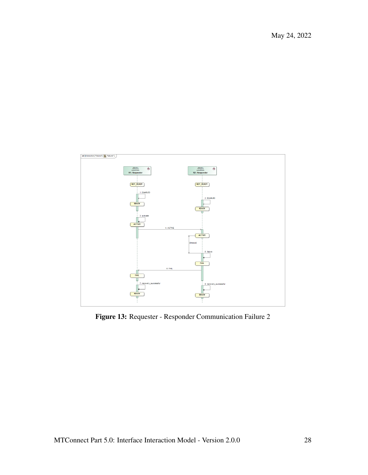May 24, 2022

<span id="page-32-0"></span>

Figure 13: Requester - Responder Communication Failure 2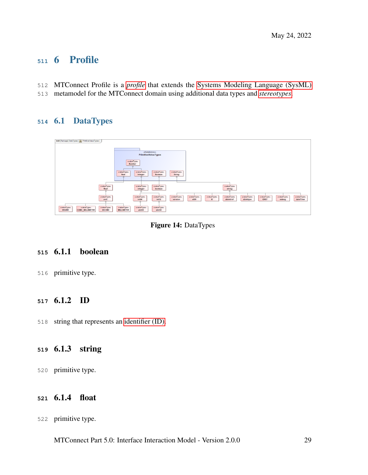# 6 Profile

- MTConnect Profile is a *[profile](#page-0-0)* that extends the [Systems Modeling Language \(SysML\)](#page-0-0)
- <span id="page-33-0"></span>metamodel for the MTConnect domain using additional data types and *[stereotypes](#page-0-0)*.

# 6.1 DataTypes

<span id="page-33-6"></span>

| bdd [Package] DataTypes [ R PrimitiveValueTypes ]                                                      |                                                                                                                                                    |
|--------------------------------------------------------------------------------------------------------|----------------------------------------------------------------------------------------------------------------------------------------------------|
|                                                                                                        |                                                                                                                                                    |
|                                                                                                        |                                                                                                                                                    |
|                                                                                                        |                                                                                                                                                    |
|                                                                                                        | «ModelLibrary»                                                                                                                                     |
|                                                                                                        | PrimitiveValueTypes                                                                                                                                |
|                                                                                                        |                                                                                                                                                    |
|                                                                                                        | evalueTypes                                                                                                                                        |
|                                                                                                        | <b>Number</b>                                                                                                                                      |
|                                                                                                        |                                                                                                                                                    |
|                                                                                                        |                                                                                                                                                    |
|                                                                                                        | «valueType»<br>evalueType»<br>evalueType»<br>«valueType»<br>Boolean<br><b>String</b><br>Real<br>Integer                                            |
|                                                                                                        |                                                                                                                                                    |
|                                                                                                        |                                                                                                                                                    |
|                                                                                                        |                                                                                                                                                    |
| «valueType»                                                                                            | «valueType»<br>«valueType»<br>«valueType»                                                                                                          |
| float                                                                                                  | integer<br>boolean<br>string                                                                                                                       |
| $\overline{\phantom{a}}$                                                                               | -                                                                                                                                                  |
|                                                                                                        |                                                                                                                                                    |
| «valueType»                                                                                            | «valueType»<br>«valueType»<br>evalueType»<br>evalueTypes<br>«valueType»<br>evalueType»<br>evalueTypes<br>«valueType»<br>«valueType»<br>«valueType» |
| unit                                                                                                   | int32<br>dateTime<br>int64<br>x509<br>xlinktype<br><b>IDREF</b><br>version<br>ID<br>xlinkhref<br>xslang                                            |
|                                                                                                        |                                                                                                                                                    |
|                                                                                                        |                                                                                                                                                    |
| evalueType»<br>«valueType»<br>evalueTypes<br><b>DEGREE</b><br><b>CUBIC_MILLIMETER</b><br><b>SECOND</b> | «valueType»<br>«valueType»<br>evalueTypes<br><b>MILLIMETER</b><br>ulnt64<br>ulnt32                                                                 |
|                                                                                                        |                                                                                                                                                    |
|                                                                                                        |                                                                                                                                                    |

Figure 14: DataTypes

## <span id="page-33-1"></span>6.1.1 boolean

<span id="page-33-2"></span>primitive type.

#### 6.1.2 ID

<span id="page-33-3"></span>string that represents an [identifier \(ID\).](#page-0-0)

# 6.1.3 string

<span id="page-33-4"></span>primitive type.

## 6.1.4 float

<span id="page-33-5"></span>primitive type.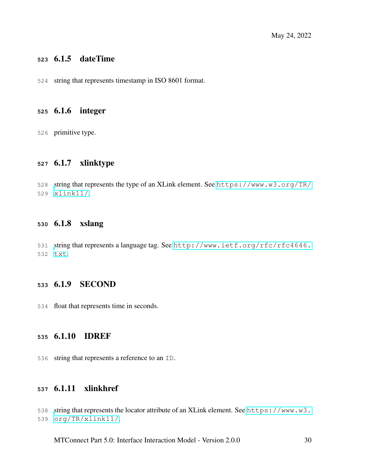#### 6.1.5 dateTime

<span id="page-34-0"></span>string that represents timestamp in ISO 8601 format.

#### 6.1.6 integer

<span id="page-34-1"></span>primitive type.

## 6.1.7 xlinktype

<span id="page-34-2"></span> [s](https://www.w3.org/TR/xlink11/)tring that represents the type of an XLink element. See [https://www.w3.org/TR/](https://www.w3.org/TR/xlink11/) [xlink11/](https://www.w3.org/TR/xlink11/).

#### 6.1.8 xslang

<span id="page-34-3"></span> [s](http://www.ietf.org/rfc/rfc4646.txt)tring that represents a language tag. See [http://www.ietf.org/rfc/rfc4646.](http://www.ietf.org/rfc/rfc4646.txt) [txt](http://www.ietf.org/rfc/rfc4646.txt).

#### 6.1.9 SECOND

<span id="page-34-4"></span>float that represents time in seconds.

#### 6.1.10 IDREF

<span id="page-34-5"></span>string that represents a reference to an ID.

#### 6.1.11 xlinkhref

<span id="page-34-6"></span>[s](https://www.w3.org/TR/xlink11/)tring that represents the locator attribute of an XLink element. See [https://www.w3.](https://www.w3.org/TR/xlink11/) [org/TR/xlink11/](https://www.w3.org/TR/xlink11/).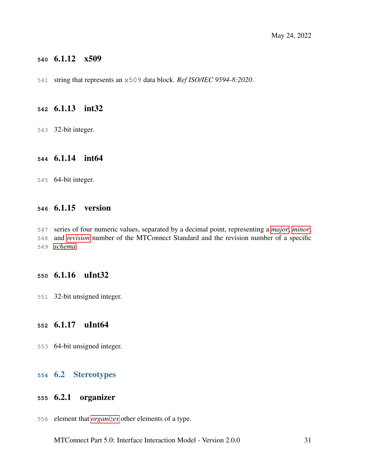#### 6.1.12 x509

<span id="page-35-0"></span>string that represents an x509 data block. *Ref ISO/IEC 9594-8:2020*.

#### 6.1.13 int32

<span id="page-35-1"></span>32-bit integer.

#### 6.1.14 int64

<span id="page-35-2"></span>64-bit integer.

#### 6.1.15 version

 series of four numeric values, separated by a decimal point, representing a *[major](#page-0-0)*, *[minor](#page-0-0)*, and *[revision](#page-0-0)* number of the MTConnect Standard and the revision number of a specific *[schema](#page-0-0)*.

### <span id="page-35-3"></span>6.1.16 uInt32

<span id="page-35-4"></span>32-bit unsigned integer.

#### 6.1.17 uInt64

<span id="page-35-5"></span>64-bit unsigned integer.

#### 6.2 Stereotypes

#### <span id="page-35-6"></span>6.2.1 organizer

<span id="page-35-7"></span>element that *[organizes](#page-0-0)* other elements of a type.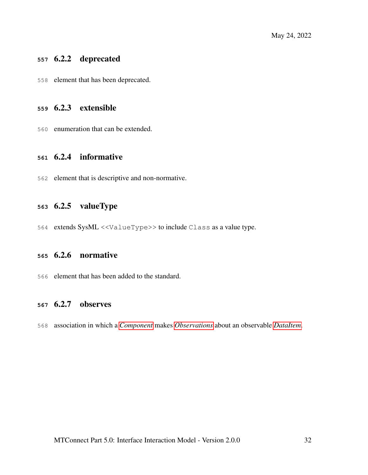## 6.2.2 deprecated

<span id="page-36-0"></span>element that has been deprecated.

#### 6.2.3 extensible

<span id="page-36-1"></span>enumeration that can be extended.

#### 6.2.4 informative

<span id="page-36-2"></span>element that is descriptive and non-normative.

## 6.2.5 valueType

<span id="page-36-3"></span>extends SysML <<ValueType>> to include Class as a value type.

#### 6.2.6 normative

<span id="page-36-4"></span>element that has been added to the standard.

#### 6.2.7 observes

association in which a *[Component](#page-0-0)* makes *[Observations](#page-0-0)* about an observable *[DataItem](#page-0-0)*.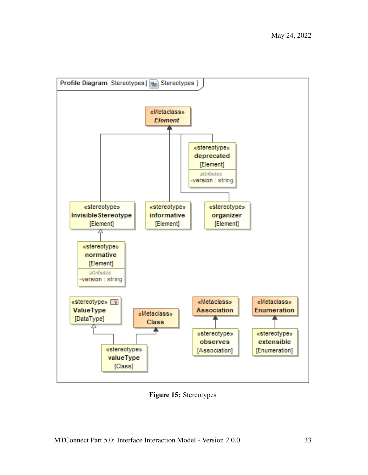<span id="page-37-0"></span>

Figure 15: Stereotypes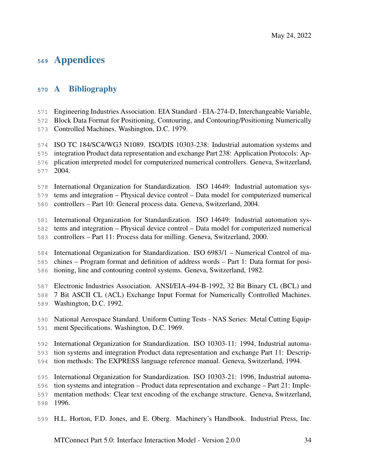# Appendices

# <span id="page-38-0"></span>A Bibliography

Engineering Industries Association. EIA Standard - EIA-274-D, Interchangeable Variable,

Block Data Format for Positioning, Contouring, and Contouring/Positioning Numerically

Controlled Machines. Washington, D.C. 1979.

ISO TC 184/SC4/WG3 N1089. ISO/DIS 10303-238: Industrial automation systems and

 integration Product data representation and exchange Part 238: Application Protocols: Ap-plication interpreted model for computerized numerical controllers. Geneva, Switzerland,

2004.

International Organization for Standardization. ISO 14649: Industrial automation sys-

tems and integration – Physical device control – Data model for computerized numerical

controllers – Part 10: General process data. Geneva, Switzerland, 2004.

International Organization for Standardization. ISO 14649: Industrial automation sys-

tems and integration – Physical device control – Data model for computerized numerical

controllers – Part 11: Process data for milling. Geneva, Switzerland, 2000.

 International Organization for Standardization. ISO 6983/1 – Numerical Control of ma-chines – Program format and definition of address words – Part 1: Data format for posi-

tioning, line and contouring control systems. Geneva, Switzerland, 1982.

Electronic Industries Association. ANSI/EIA-494-B-1992, 32 Bit Binary CL (BCL) and

7 Bit ASCII CL (ACL) Exchange Input Format for Numerically Controlled Machines.

- Washington, D.C. 1992.
- National Aerospace Standard. Uniform Cutting Tests NAS Series: Metal Cutting Equip-ment Specifications. Washington, D.C. 1969.

International Organization for Standardization. ISO 10303-11: 1994, Industrial automa-

tion systems and integration Product data representation and exchange Part 11: Descrip-

tion methods: The EXPRESS language reference manual. Geneva, Switzerland, 1994.

International Organization for Standardization. ISO 10303-21: 1996, Industrial automa-

tion systems and integration – Product data representation and exchange – Part 21: Imple-

mentation methods: Clear text encoding of the exchange structure. Geneva, Switzerland,

1996.

H.L. Horton, F.D. Jones, and E. Oberg. Machinery's Handbook. Industrial Press, Inc.